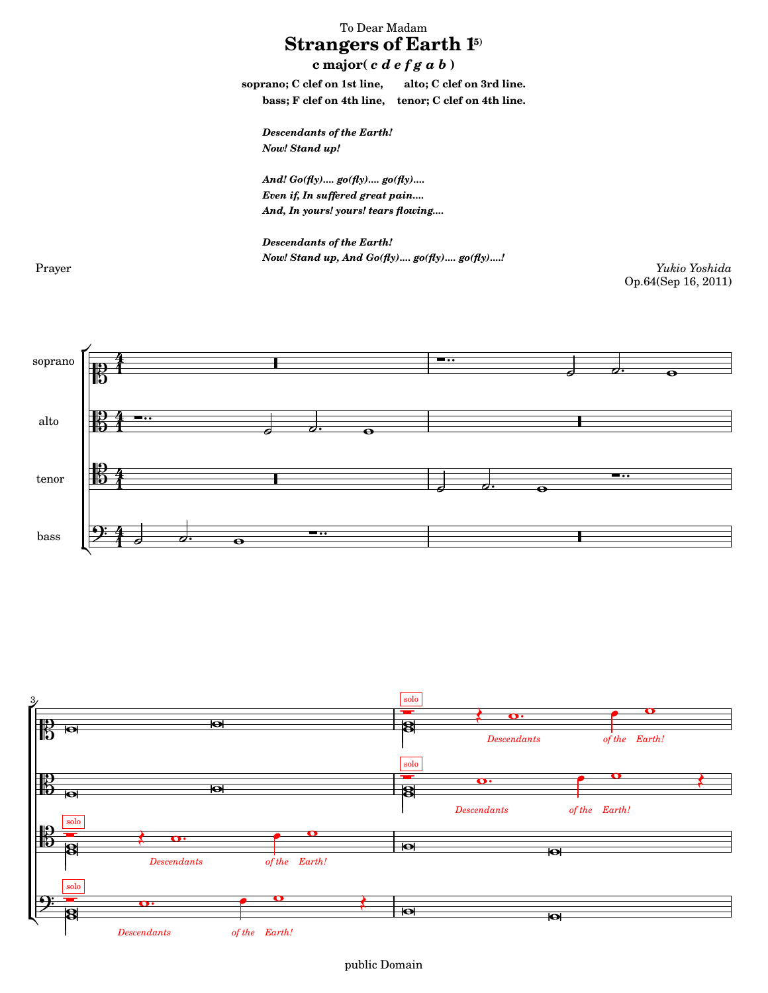## To Dear Madam **Strangers of Earth 1<sup>5)</sup>**

 $c \text{ major}(c d e f g a b)$ 

**soprano; C clef on 1st line, alto; C clef on 3rd line. bass; F clef on 4th line, tenor; C clef on 4th line.**

Descendants of the Earth! Now! Stand up!

And! Go(fly).... go(fly).... go(fly).... Even if, In suffered great pain.... And, In yours! yours! tears flowing....

Descendants of the Earth! Now! Stand up, And Go(fly).... go(fly).... go(fly)....!

Prayer *Yukio Yoshida* Op.64(Sep 16, 2011)



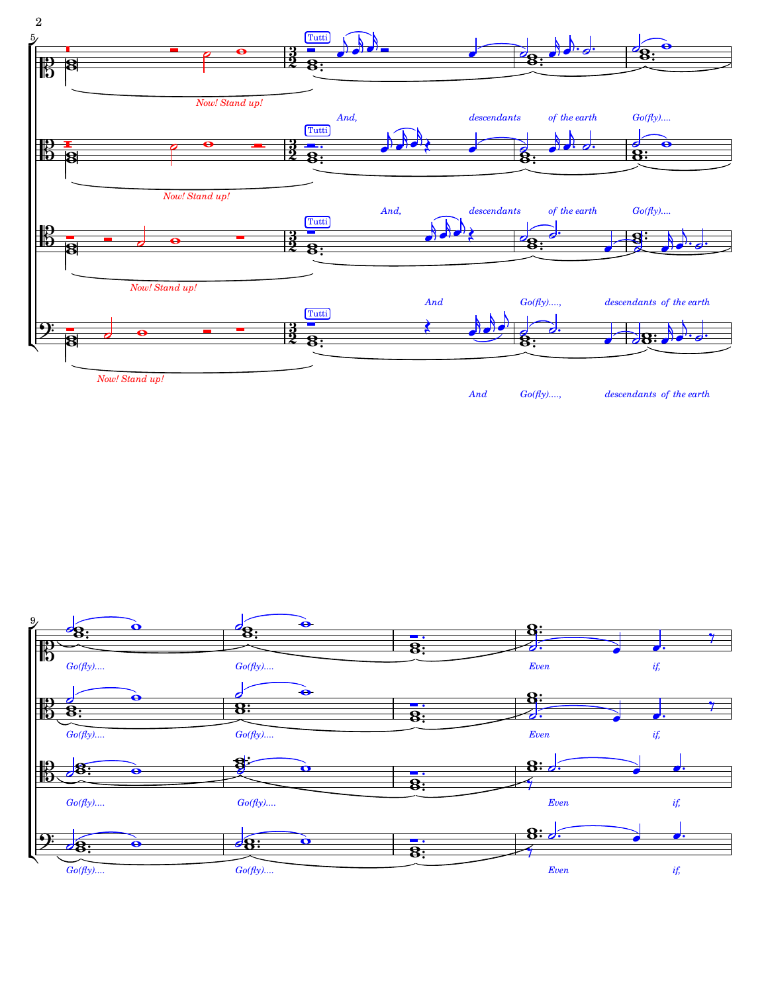

*[descendants](textedit:///mnt/c/yukio/sheet-poem.com/2008-2011/2011/strangers1-5/strangers1-5.ly:533:0:1) [the](textedit:///mnt/c/yukio/sheet-poem.com/2008-2011/2011/strangers1-5/strangers1-5.ly:533:15:16) [earth](textedit:///mnt/c/yukio/sheet-poem.com/2008-2011/2011/strangers1-5/strangers1-5.ly:533:19:20) [of](textedit:///mnt/c/yukio/sheet-poem.com/2008-2011/2011/strangers1-5/strangers1-5.ly:533:12:13) [Go\(fly\)....,](textedit:///mnt/c/yukio/sheet-poem.com/2008-2011/2011/strangers1-5/strangers1-5.ly:531:4:5)*

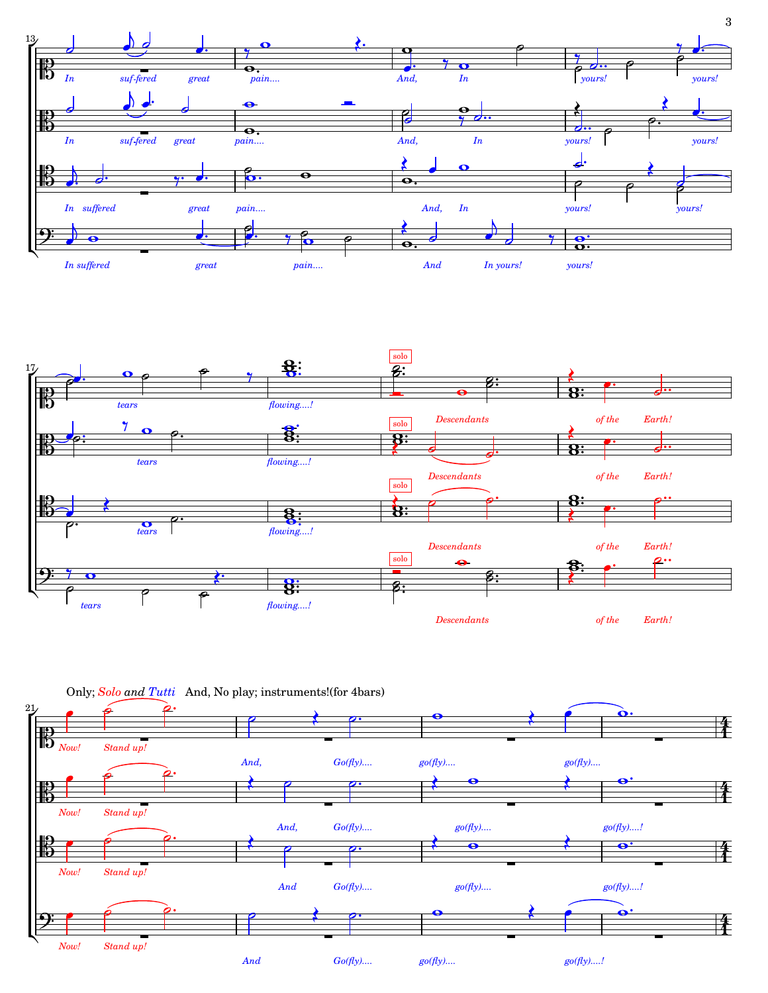